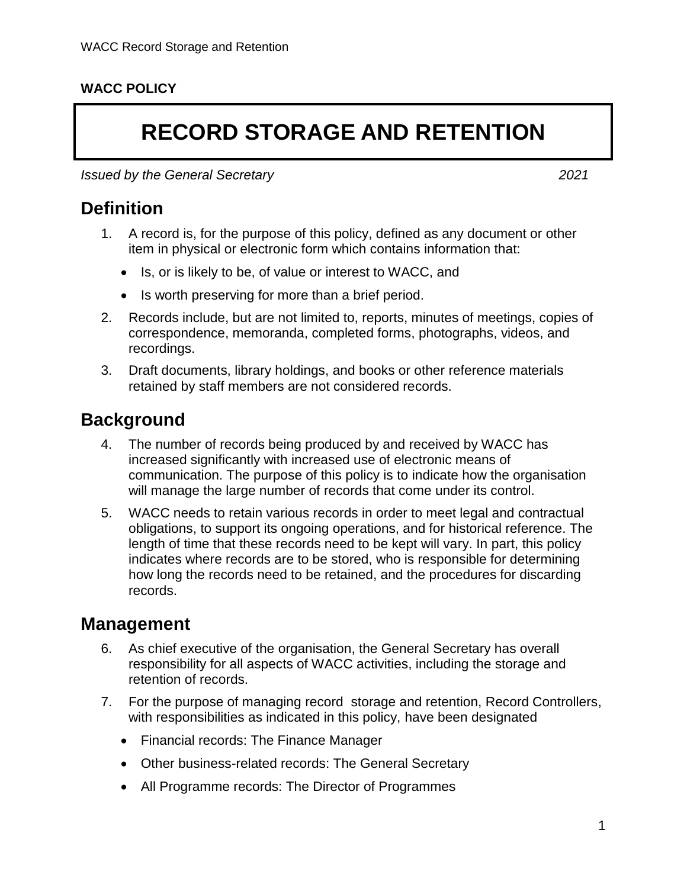### **WACC POLICY**

# **RECORD STORAGE AND RETENTION**

*Issued by the General Secretary 2021*

**Definition**

- 1. A record is, for the purpose of this policy, defined as any document or other item in physical or electronic form which contains information that:
	- Is, or is likely to be, of value or interest to WACC, and
	- Is worth preserving for more than a brief period.
- 2. Records include, but are not limited to, reports, minutes of meetings, copies of correspondence, memoranda, completed forms, photographs, videos, and recordings.
- 3. Draft documents, library holdings, and books or other reference materials retained by staff members are not considered records.

### **Background**

- 4. The number of records being produced by and received by WACC has increased significantly with increased use of electronic means of communication. The purpose of this policy is to indicate how the organisation will manage the large number of records that come under its control.
- 5. WACC needs to retain various records in order to meet legal and contractual obligations, to support its ongoing operations, and for historical reference. The length of time that these records need to be kept will vary. In part, this policy indicates where records are to be stored, who is responsible for determining how long the records need to be retained, and the procedures for discarding records.

## **Management**

- 6. As chief executive of the organisation, the General Secretary has overall responsibility for all aspects of WACC activities, including the storage and retention of records.
- <span id="page-0-0"></span>7. For the purpose of managing record storage and retention, Record Controllers, with responsibilities as indicated in this policy, have been designated
	- Financial records: The Finance Manager
	- Other business-related records: The General Secretary
	- All Programme records: The Director of Programmes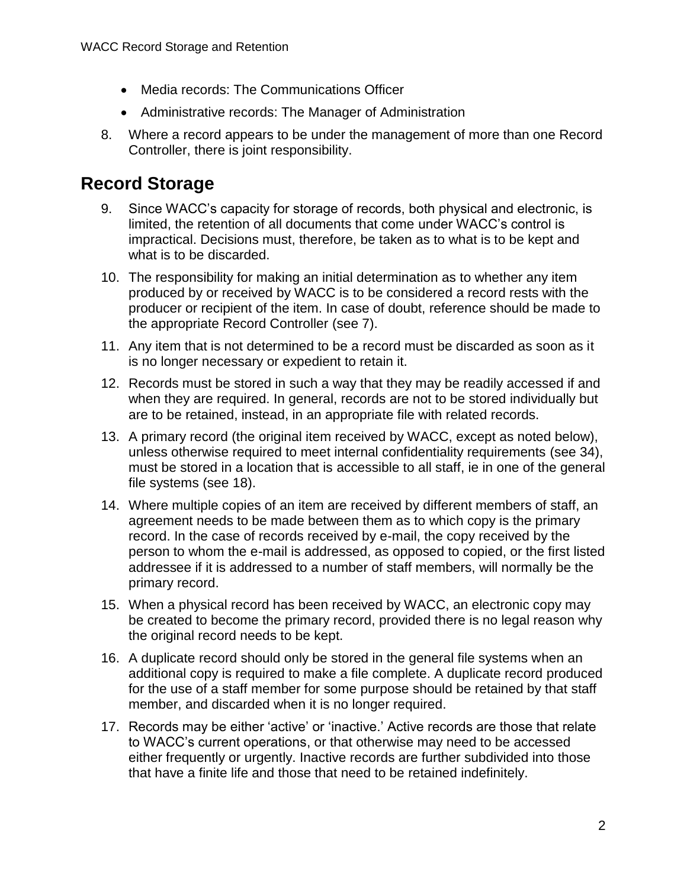- Media records: The Communications Officer
- Administrative records: The Manager of Administration
- 8. Where a record appears to be under the management of more than one Record Controller, there is joint responsibility.

# **Record Storage**

- 9. Since WACC's capacity for storage of records, both physical and electronic, is limited, the retention of all documents that come under WACC's control is impractical. Decisions must, therefore, be taken as to what is to be kept and what is to be discarded.
- 10. The responsibility for making an initial determination as to whether any item produced by or received by WACC is to be considered a record rests with the producer or recipient of the item. In case of doubt, reference should be made to the appropriate Record Controller (see [7\)](#page-0-0).
- 11. Any item that is not determined to be a record must be discarded as soon as it is no longer necessary or expedient to retain it.
- 12. Records must be stored in such a way that they may be readily accessed if and when they are required. In general, records are not to be stored individually but are to be retained, instead, in an appropriate file with related records.
- 13. A primary record (the original item received by WACC, except as noted below), unless otherwise required to meet internal confidentiality requirements (see [34\)](#page-3-0), must be stored in a location that is accessible to all staff, ie in one of the general file systems (see [18\)](#page-2-0).
- 14. Where multiple copies of an item are received by different members of staff, an agreement needs to be made between them as to which copy is the primary record. In the case of records received by e-mail, the copy received by the person to whom the e-mail is addressed, as opposed to copied, or the first listed addressee if it is addressed to a number of staff members, will normally be the primary record.
- 15. When a physical record has been received by WACC, an electronic copy may be created to become the primary record, provided there is no legal reason why the original record needs to be kept.
- 16. A duplicate record should only be stored in the general file systems when an additional copy is required to make a file complete. A duplicate record produced for the use of a staff member for some purpose should be retained by that staff member, and discarded when it is no longer required.
- 17. Records may be either 'active' or 'inactive.' Active records are those that relate to WACC's current operations, or that otherwise may need to be accessed either frequently or urgently. Inactive records are further subdivided into those that have a finite life and those that need to be retained indefinitely.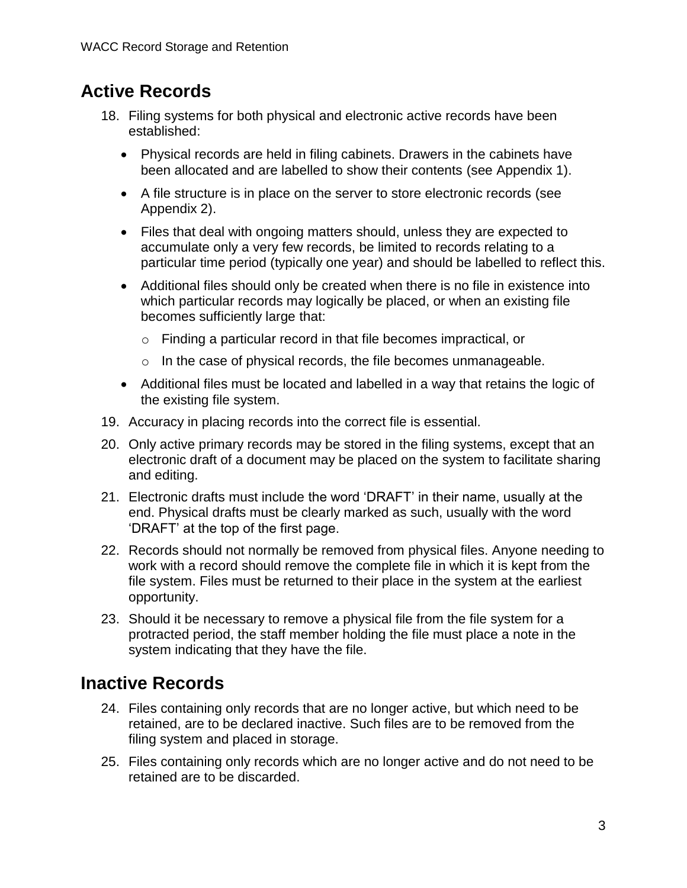# **Active Records**

- <span id="page-2-0"></span>18. Filing systems for both physical and electronic active records have been established:
	- Physical records are held in filing cabinets. Drawers in the cabinets have been allocated and are labelled to show their contents (see Appendix 1).
	- A file structure is in place on the server to store electronic records (see Appendix 2).
	- Files that deal with ongoing matters should, unless they are expected to accumulate only a very few records, be limited to records relating to a particular time period (typically one year) and should be labelled to reflect this.
	- Additional files should only be created when there is no file in existence into which particular records may logically be placed, or when an existing file becomes sufficiently large that:
		- o Finding a particular record in that file becomes impractical, or
		- o In the case of physical records, the file becomes unmanageable.
	- Additional files must be located and labelled in a way that retains the logic of the existing file system.
- 19. Accuracy in placing records into the correct file is essential.
- 20. Only active primary records may be stored in the filing systems, except that an electronic draft of a document may be placed on the system to facilitate sharing and editing.
- 21. Electronic drafts must include the word 'DRAFT' in their name, usually at the end. Physical drafts must be clearly marked as such, usually with the word 'DRAFT' at the top of the first page.
- 22. Records should not normally be removed from physical files. Anyone needing to work with a record should remove the complete file in which it is kept from the file system. Files must be returned to their place in the system at the earliest opportunity.
- 23. Should it be necessary to remove a physical file from the file system for a protracted period, the staff member holding the file must place a note in the system indicating that they have the file.

## **Inactive Records**

- 24. Files containing only records that are no longer active, but which need to be retained, are to be declared inactive. Such files are to be removed from the filing system and placed in storage.
- 25. Files containing only records which are no longer active and do not need to be retained are to be discarded.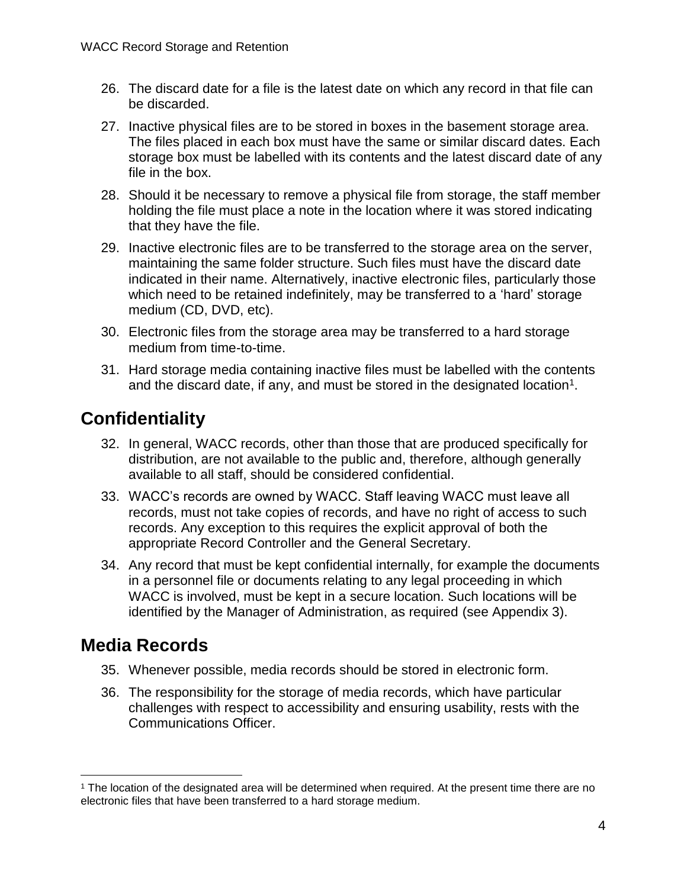- 26. The discard date for a file is the latest date on which any record in that file can be discarded.
- 27. Inactive physical files are to be stored in boxes in the basement storage area. The files placed in each box must have the same or similar discard dates. Each storage box must be labelled with its contents and the latest discard date of any file in the box.
- 28. Should it be necessary to remove a physical file from storage, the staff member holding the file must place a note in the location where it was stored indicating that they have the file.
- 29. Inactive electronic files are to be transferred to the storage area on the server, maintaining the same folder structure. Such files must have the discard date indicated in their name. Alternatively, inactive electronic files, particularly those which need to be retained indefinitely, may be transferred to a 'hard' storage medium (CD, DVD, etc).
- 30. Electronic files from the storage area may be transferred to a hard storage medium from time-to-time.
- 31. Hard storage media containing inactive files must be labelled with the contents and the discard date, if any, and must be stored in the designated location<sup>1</sup>.

## **Confidentiality**

- 32. In general, WACC records, other than those that are produced specifically for distribution, are not available to the public and, therefore, although generally available to all staff, should be considered confidential.
- 33. WACC's records are owned by WACC. Staff leaving WACC must leave all records, must not take copies of records, and have no right of access to such records. Any exception to this requires the explicit approval of both the appropriate Record Controller and the General Secretary.
- <span id="page-3-0"></span>34. Any record that must be kept confidential internally, for example the documents in a personnel file or documents relating to any legal proceeding in which WACC is involved, must be kept in a secure location. Such locations will be identified by the Manager of Administration, as required (see Appendix 3).

## **Media Records**

 $\overline{a}$ 

- 35. Whenever possible, media records should be stored in electronic form.
- 36. The responsibility for the storage of media records, which have particular challenges with respect to accessibility and ensuring usability, rests with the Communications Officer.

<sup>1</sup> The location of the designated area will be determined when required. At the present time there are no electronic files that have been transferred to a hard storage medium.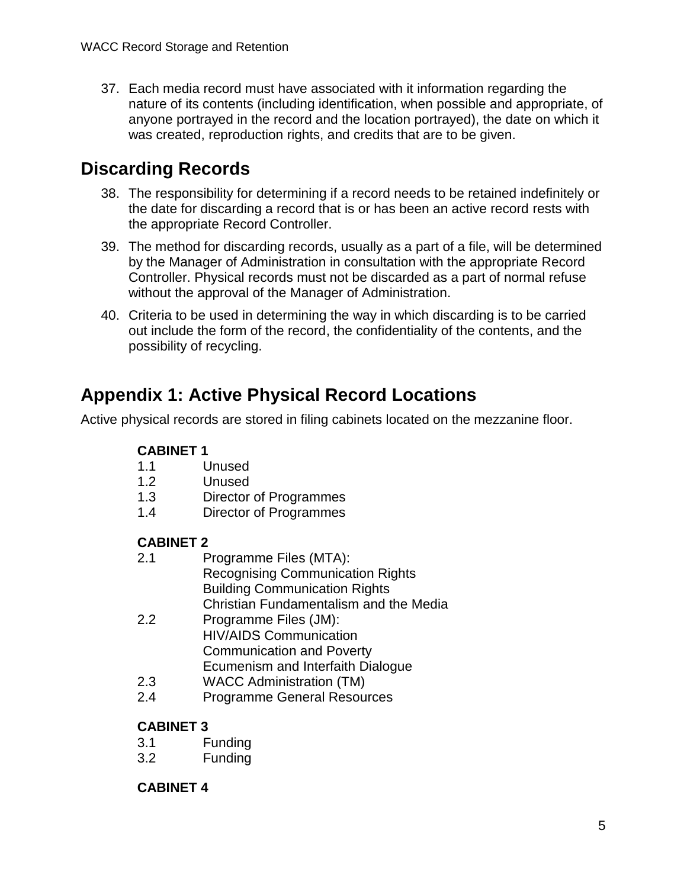37. Each media record must have associated with it information regarding the nature of its contents (including identification, when possible and appropriate, of anyone portrayed in the record and the location portrayed), the date on which it was created, reproduction rights, and credits that are to be given.

# **Discarding Records**

- 38. The responsibility for determining if a record needs to be retained indefinitely or the date for discarding a record that is or has been an active record rests with the appropriate Record Controller.
- 39. The method for discarding records, usually as a part of a file, will be determined by the Manager of Administration in consultation with the appropriate Record Controller. Physical records must not be discarded as a part of normal refuse without the approval of the Manager of Administration.
- 40. Criteria to be used in determining the way in which discarding is to be carried out include the form of the record, the confidentiality of the contents, and the possibility of recycling.

# **Appendix 1: Active Physical Record Locations**

Active physical records are stored in filing cabinets located on the mezzanine floor.

### **CABINET 1**

- 1.1 Unused
- 1.2 Unused
- 1.3 Director of Programmes
- 1.4 Director of Programmes

### **CABINET 2**

- 2.1 Programme Files (MTA): Recognising Communication Rights Building Communication Rights Christian Fundamentalism and the Media 2.2 Programme Files (JM):
	- HIV/AIDS Communication Communication and Poverty Ecumenism and Interfaith Dialogue
- 2.3 WACC Administration (TM)
- 2.4 Programme General Resources

### **CABINET 3**

- 3.1 Funding
- 3.2 Funding

### **CABINET 4**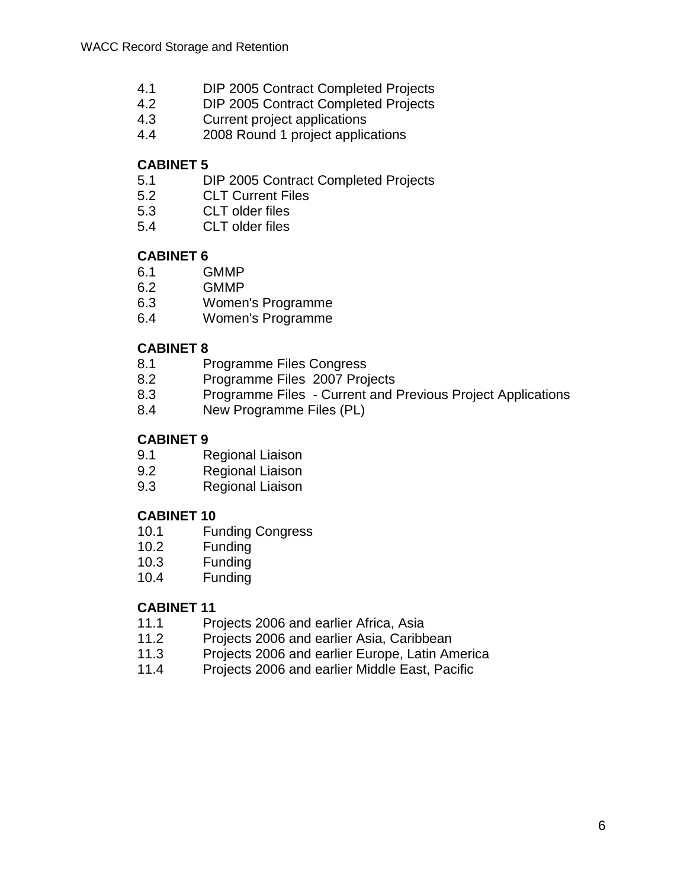- 4.1 DIP 2005 Contract Completed Projects
- 4.2 DIP 2005 Contract Completed Projects
- 4.3 Current project applications
- 4.4 2008 Round 1 project applications

### **CABINET 5**

- 5.1 DIP 2005 Contract Completed Projects
- 5.2 CLT Current Files
- 5.3 CLT older files
- 5.4 CLT older files

### **CABINET 6**

- 6.1 GMMP
- 6.2 GMMP
- 6.3 Women's Programme
- 6.4 Women's Programme

### **CABINET 8**

- 8.1 Programme Files Congress
- 8.2 Programme Files 2007 Projects
- 8.3 Programme Files Current and Previous Project Applications
- 8.4 New Programme Files (PL)

### **CABINET 9**

- 9.1 Regional Liaison
- 9.2 Regional Liaison
- 9.3 Regional Liaison

### **CABINET 10**

- 10.1 Funding Congress
- 10.2 Funding
- 10.3 Funding
- 10.4 Funding

### **CABINET 11**

- 11.1 Projects 2006 and earlier Africa, Asia
- 11.2 Projects 2006 and earlier Asia, Caribbean
- 11.3 Projects 2006 and earlier Europe, Latin America
- 11.4 Projects 2006 and earlier Middle East, Pacific